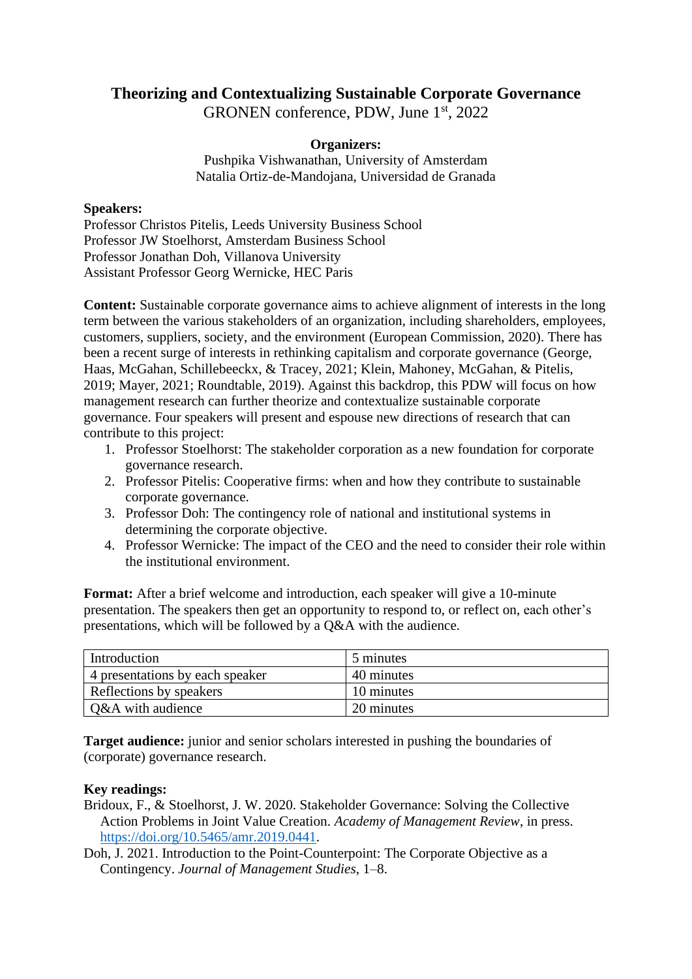## **Theorizing and Contextualizing Sustainable Corporate Governance**

GRONEN conference, PDW, June 1<sup>st</sup>, 2022

## **Organizers:**

Pushpika Vishwanathan, University of Amsterdam Natalia Ortiz-de-Mandojana, Universidad de Granada

## **Speakers:**

Professor Christos Pitelis, Leeds University Business School Professor JW Stoelhorst, Amsterdam Business School Professor Jonathan Doh, Villanova University Assistant Professor Georg Wernicke, HEC Paris

**Content:** Sustainable corporate governance aims to achieve alignment of interests in the long term between the various stakeholders of an organization, including shareholders, employees, customers, suppliers, society, and the environment (European Commission, 2020). There has been a recent surge of interests in rethinking capitalism and corporate governance (George, Haas, McGahan, Schillebeeckx, & Tracey, 2021; Klein, Mahoney, McGahan, & Pitelis, 2019; Mayer, 2021; Roundtable, 2019). Against this backdrop, this PDW will focus on how management research can further theorize and contextualize sustainable corporate governance. Four speakers will present and espouse new directions of research that can contribute to this project:

- 1. Professor Stoelhorst: The stakeholder corporation as a new foundation for corporate governance research.
- 2. Professor Pitelis: Cooperative firms: when and how they contribute to sustainable corporate governance.
- 3. Professor Doh: The contingency role of national and institutional systems in determining the corporate objective.
- 4. Professor Wernicke: The impact of the CEO and the need to consider their role within the institutional environment.

**Format:** After a brief welcome and introduction, each speaker will give a 10-minute presentation. The speakers then get an opportunity to respond to, or reflect on, each other's presentations, which will be followed by a Q&A with the audience.

| Introduction                    | 5 minutes  |
|---------------------------------|------------|
| 4 presentations by each speaker | 40 minutes |
| Reflections by speakers         | 10 minutes |
| Q&A with audience               | 20 minutes |

**Target audience:** junior and senior scholars interested in pushing the boundaries of (corporate) governance research.

## **Key readings:**

- Bridoux, F., & Stoelhorst, J. W. 2020. Stakeholder Governance: Solving the Collective Action Problems in Joint Value Creation. *Academy of Management Review*, in press. [https://doi.org/10.5465/amr.2019.0441.](https://doi.org/10.5465/amr.2019.0441)
- Doh, J. 2021. Introduction to the Point-Counterpoint: The Corporate Objective as a Contingency. *Journal of Management Studies*, 1–8.